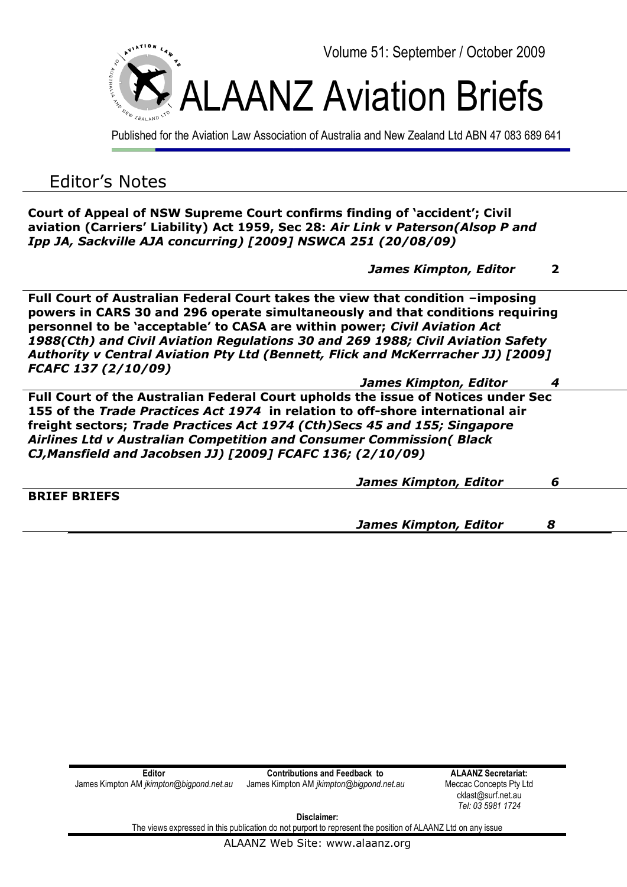

Published for the Aviation Law Association of Australia and New Zealand Ltd ABN 47 083 689 641

## Editor's Notes

**Court of Appeal of NSW Supreme Court confirms finding of 'accident'; Civil aviation (Carriers' Liability) Act 1959, Sec 28:** *Air Link v Paterson(Alsop P and Ipp JA, Sackville AJA concurring) [2009] NSWCA 251 (20/08/09)* 

 *James Kimpton, Editor* **2**

**Full Court of Australian Federal Court takes the view that condition –imposing powers in CARS 30 and 296 operate simultaneously and that conditions requiring personnel to be 'acceptable' to CASA are within power;** *Civil Aviation Act 1988(Cth) and Civil Aviation Regulations 30 and 269 1988; Civil Aviation Safety Authority v Central Aviation Pty Ltd (Bennett, Flick and McKerrracher JJ) [2009] FCAFC 137 (2/10/09)* 

 *James Kimpton, Editor 4*

**Full Court of the Australian Federal Court upholds the issue of Notices under Sec 155 of the** *Trade Practices Act 1974* **in relation to off-shore international air freight sectors;** *Trade Practices Act 1974 (Cth)Secs 45 and 155; Singapore Airlines Ltd v Australian Competition and Consumer Commission( Black CJ,Mansfield and Jacobsen JJ) [2009] FCAFC 136; (2/10/09)* 

|                     | <b>James Kimpton, Editor</b> | ь |  |
|---------------------|------------------------------|---|--|
| <b>BRIEF BRIEFS</b> |                              |   |  |
|                     | <b>James Kimpton, Editor</b> |   |  |

| Editor                                          | <b>Contributions and Feedback to</b>     |  |
|-------------------------------------------------|------------------------------------------|--|
| James Kimpton AM <i>jkimpton@bigpond.net.au</i> | James Kimpton AM jkimpton@bigpond.net.au |  |

**ALAANZ Secretariat:** Meccac Concepts Pty Ltd cklast@surf.net.au *Tel: 03 5981 1724*

**Disclaimer:**

The views expressed in this publication do not purport to represent the position of ALAANZ Ltd on any issue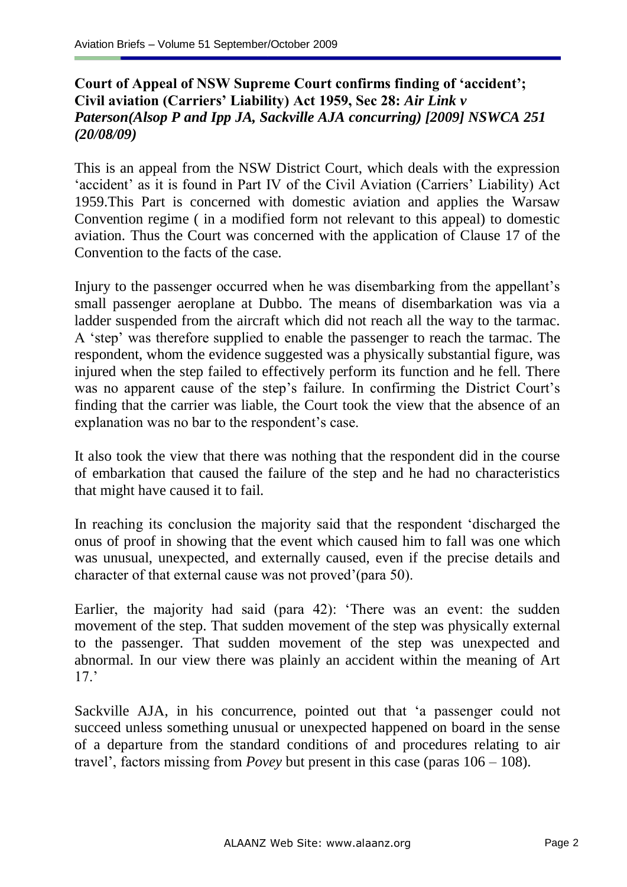## **Court of Appeal of NSW Supreme Court confirms finding of 'accident'; Civil aviation (Carriers' Liability) Act 1959, Sec 28:** *Air Link v Paterson(Alsop P and Ipp JA, Sackville AJA concurring) [2009] NSWCA 251 (20/08/09)*

This is an appeal from the NSW District Court, which deals with the expression 'accident' as it is found in Part IV of the Civil Aviation (Carriers' Liability) Act 1959.This Part is concerned with domestic aviation and applies the Warsaw Convention regime ( in a modified form not relevant to this appeal) to domestic aviation. Thus the Court was concerned with the application of Clause 17 of the Convention to the facts of the case.

Injury to the passenger occurred when he was disembarking from the appellant's small passenger aeroplane at Dubbo. The means of disembarkation was via a ladder suspended from the aircraft which did not reach all the way to the tarmac. A "step" was therefore supplied to enable the passenger to reach the tarmac. The respondent, whom the evidence suggested was a physically substantial figure, was injured when the step failed to effectively perform its function and he fell. There was no apparent cause of the step's failure. In confirming the District Court's finding that the carrier was liable, the Court took the view that the absence of an explanation was no bar to the respondent's case.

It also took the view that there was nothing that the respondent did in the course of embarkation that caused the failure of the step and he had no characteristics that might have caused it to fail.

In reaching its conclusion the majority said that the respondent "discharged the onus of proof in showing that the event which caused him to fall was one which was unusual, unexpected, and externally caused, even if the precise details and character of that external cause was not proved"(para 50).

Earlier, the majority had said (para 42): "There was an event: the sudden movement of the step. That sudden movement of the step was physically external to the passenger. That sudden movement of the step was unexpected and abnormal. In our view there was plainly an accident within the meaning of Art  $17$ 

Sackville AJA, in his concurrence, pointed out that "a passenger could not succeed unless something unusual or unexpected happened on board in the sense of a departure from the standard conditions of and procedures relating to air travel", factors missing from *Povey* but present in this case (paras 106 – 108).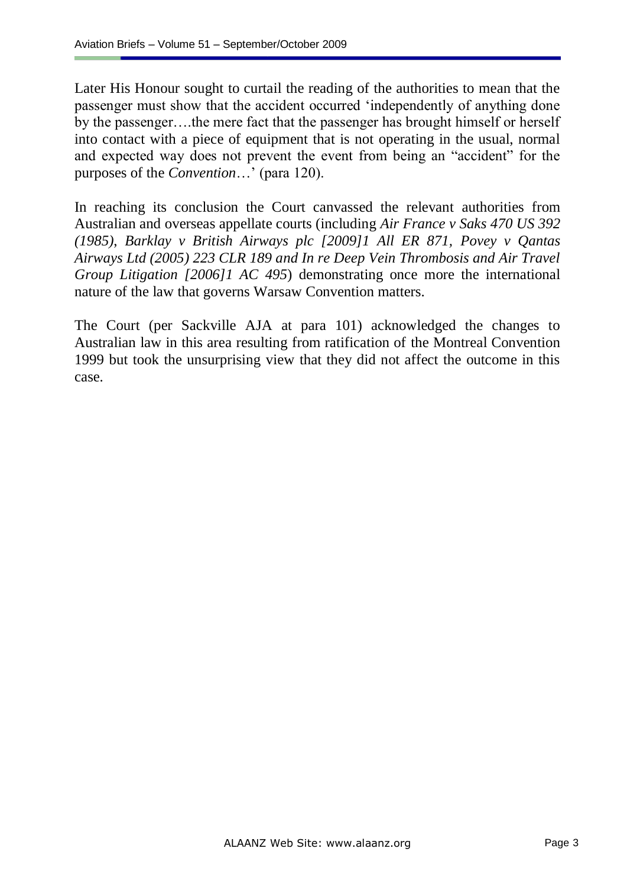Later His Honour sought to curtail the reading of the authorities to mean that the passenger must show that the accident occurred "independently of anything done by the passenger….the mere fact that the passenger has brought himself or herself into contact with a piece of equipment that is not operating in the usual, normal and expected way does not prevent the event from being an "accident" for the purposes of the *Convention*…" (para 120).

In reaching its conclusion the Court canvassed the relevant authorities from Australian and overseas appellate courts (including *Air France v Saks 470 US 392 (1985)*, *Barklay v British Airways plc [2009]1 All ER 871, Povey v Qantas Airways Ltd (2005) 223 CLR 189 and In re Deep Vein Thrombosis and Air Travel Group Litigation [2006]1 AC 495*) demonstrating once more the international nature of the law that governs Warsaw Convention matters.

The Court (per Sackville AJA at para 101) acknowledged the changes to Australian law in this area resulting from ratification of the Montreal Convention 1999 but took the unsurprising view that they did not affect the outcome in this case.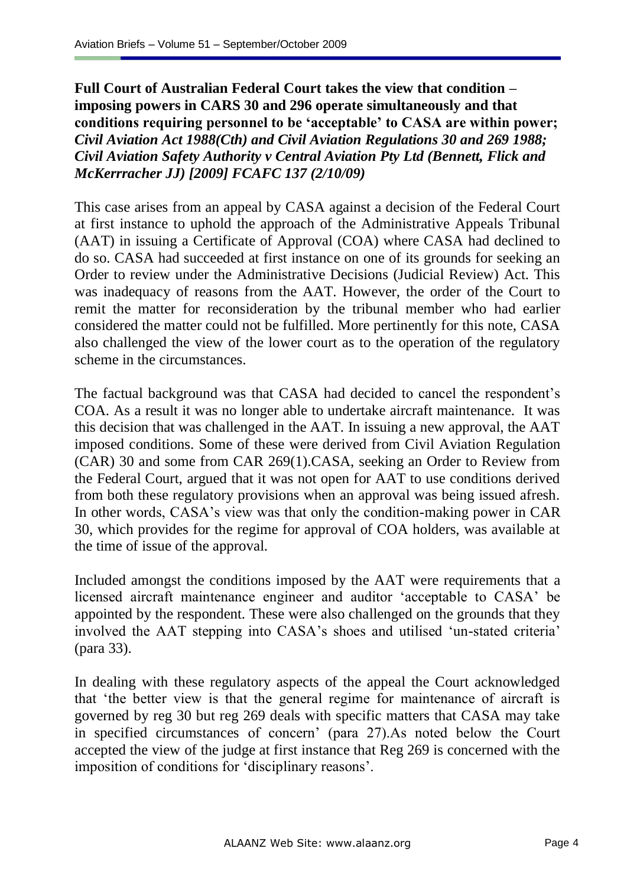**Full Court of Australian Federal Court takes the view that condition – imposing powers in CARS 30 and 296 operate simultaneously and that conditions requiring personnel to be 'acceptable' to CASA are within power;** *Civil Aviation Act 1988(Cth) and Civil Aviation Regulations 30 and 269 1988; Civil Aviation Safety Authority v Central Aviation Pty Ltd (Bennett, Flick and McKerrracher JJ) [2009] FCAFC 137 (2/10/09)* 

This case arises from an appeal by CASA against a decision of the Federal Court at first instance to uphold the approach of the Administrative Appeals Tribunal (AAT) in issuing a Certificate of Approval (COA) where CASA had declined to do so. CASA had succeeded at first instance on one of its grounds for seeking an Order to review under the Administrative Decisions (Judicial Review) Act. This was inadequacy of reasons from the AAT. However, the order of the Court to remit the matter for reconsideration by the tribunal member who had earlier considered the matter could not be fulfilled. More pertinently for this note, CASA also challenged the view of the lower court as to the operation of the regulatory scheme in the circumstances.

The factual background was that CASA had decided to cancel the respondent's COA. As a result it was no longer able to undertake aircraft maintenance. It was this decision that was challenged in the AAT. In issuing a new approval, the AAT imposed conditions. Some of these were derived from Civil Aviation Regulation (CAR) 30 and some from CAR 269(1).CASA, seeking an Order to Review from the Federal Court, argued that it was not open for AAT to use conditions derived from both these regulatory provisions when an approval was being issued afresh. In other words, CASA's view was that only the condition-making power in CAR 30, which provides for the regime for approval of COA holders, was available at the time of issue of the approval.

Included amongst the conditions imposed by the AAT were requirements that a licensed aircraft maintenance engineer and auditor "acceptable to CASA" be appointed by the respondent. These were also challenged on the grounds that they involved the AAT stepping into CASA's shoes and utilised 'un-stated criteria' (para 33).

In dealing with these regulatory aspects of the appeal the Court acknowledged that "the better view is that the general regime for maintenance of aircraft is governed by reg 30 but reg 269 deals with specific matters that CASA may take in specified circumstances of concern" (para 27).As noted below the Court accepted the view of the judge at first instance that Reg 269 is concerned with the imposition of conditions for "disciplinary reasons".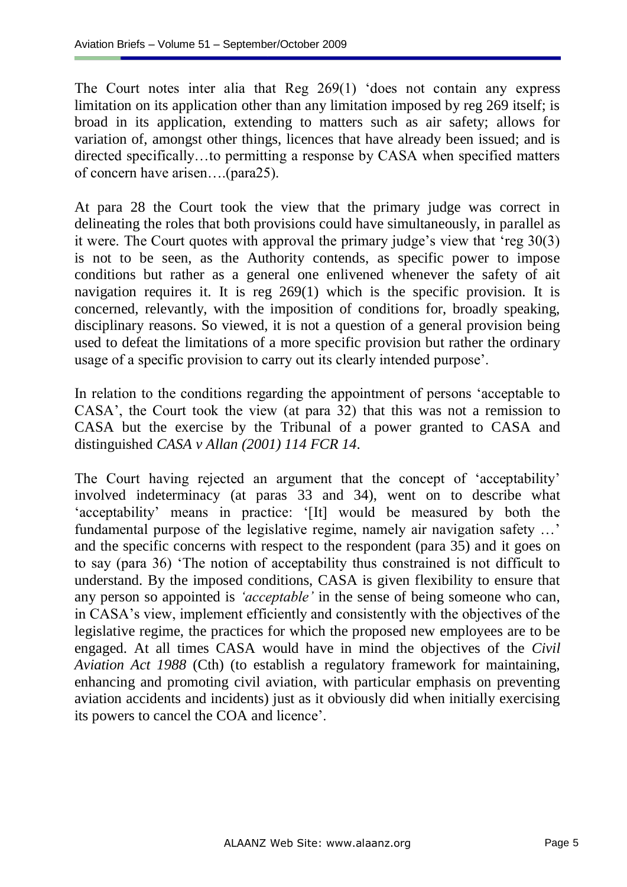The Court notes inter alia that Reg 269(1) "does not contain any express limitation on its application other than any limitation imposed by reg 269 itself; is broad in its application, extending to matters such as air safety; allows for variation of, amongst other things, licences that have already been issued; and is directed specifically…to permitting a response by CASA when specified matters of concern have arisen….(para25).

At para 28 the Court took the view that the primary judge was correct in delineating the roles that both provisions could have simultaneously, in parallel as it were. The Court quotes with approval the primary judge's view that 'reg 30(3) is not to be seen, as the Authority contends, as specific power to impose conditions but rather as a general one enlivened whenever the safety of ait navigation requires it. It is reg 269(1) which is the specific provision. It is concerned, relevantly, with the imposition of conditions for, broadly speaking, disciplinary reasons. So viewed, it is not a question of a general provision being used to defeat the limitations of a more specific provision but rather the ordinary usage of a specific provision to carry out its clearly intended purpose".

In relation to the conditions regarding the appointment of persons "acceptable to CASA", the Court took the view (at para 32) that this was not a remission to CASA but the exercise by the Tribunal of a power granted to CASA and distinguished *CASA v Allan (2001) 114 FCR 14*.

The Court having rejected an argument that the concept of "acceptability" involved indeterminacy (at paras 33 and 34), went on to describe what "acceptability" means in practice: "[It] would be measured by both the fundamental purpose of the legislative regime, namely air navigation safety ...' and the specific concerns with respect to the respondent (para 35) and it goes on to say (para 36) "The notion of acceptability thus constrained is not difficult to understand. By the imposed conditions, CASA is given flexibility to ensure that any person so appointed is *'acceptable'* in the sense of being someone who can, in CASA"s view, implement efficiently and consistently with the objectives of the legislative regime, the practices for which the proposed new employees are to be engaged. At all times CASA would have in mind the objectives of the *Civil Aviation Act 1988* (Cth) (to establish a regulatory framework for maintaining, enhancing and promoting civil aviation, with particular emphasis on preventing aviation accidents and incidents) just as it obviously did when initially exercising its powers to cancel the COA and licence".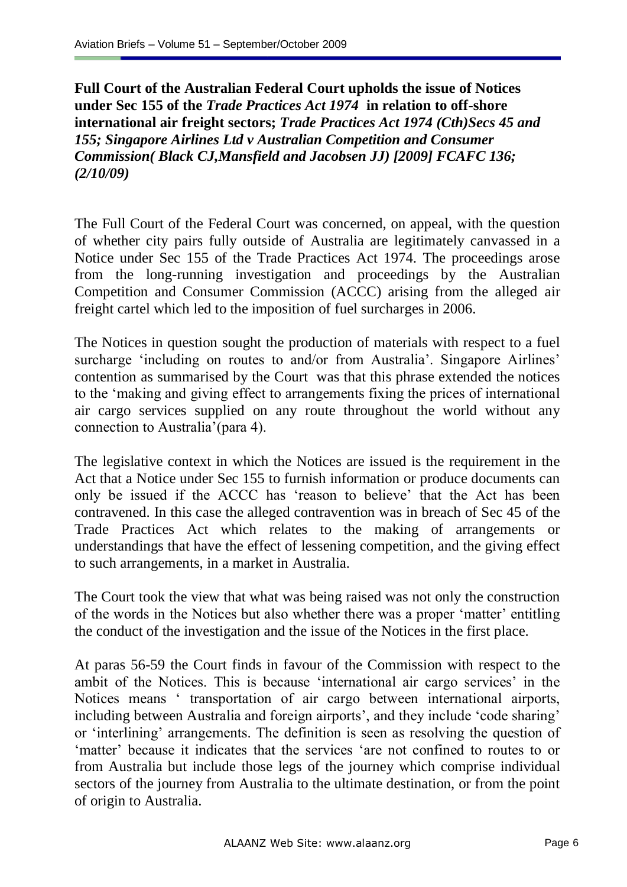**Full Court of the Australian Federal Court upholds the issue of Notices under Sec 155 of the** *Trade Practices Act 1974* **in relation to off-shore international air freight sectors;** *Trade Practices Act 1974 (Cth)Secs 45 and 155; Singapore Airlines Ltd v Australian Competition and Consumer Commission( Black CJ,Mansfield and Jacobsen JJ) [2009] FCAFC 136; (2/10/09)* 

The Full Court of the Federal Court was concerned, on appeal, with the question of whether city pairs fully outside of Australia are legitimately canvassed in a Notice under Sec 155 of the Trade Practices Act 1974. The proceedings arose from the long-running investigation and proceedings by the Australian Competition and Consumer Commission (ACCC) arising from the alleged air freight cartel which led to the imposition of fuel surcharges in 2006.

The Notices in question sought the production of materials with respect to a fuel surcharge 'including on routes to and/or from Australia'. Singapore Airlines' contention as summarised by the Court was that this phrase extended the notices to the "making and giving effect to arrangements fixing the prices of international air cargo services supplied on any route throughout the world without any connection to Australia"(para 4).

The legislative context in which the Notices are issued is the requirement in the Act that a Notice under Sec 155 to furnish information or produce documents can only be issued if the ACCC has "reason to believe" that the Act has been contravened. In this case the alleged contravention was in breach of Sec 45 of the Trade Practices Act which relates to the making of arrangements or understandings that have the effect of lessening competition, and the giving effect to such arrangements, in a market in Australia.

The Court took the view that what was being raised was not only the construction of the words in the Notices but also whether there was a proper "matter" entitling the conduct of the investigation and the issue of the Notices in the first place.

At paras 56-59 the Court finds in favour of the Commission with respect to the ambit of the Notices. This is because 'international air cargo services' in the Notices means " transportation of air cargo between international airports, including between Australia and foreign airports', and they include 'code sharing' or "interlining" arrangements. The definition is seen as resolving the question of 'matter' because it indicates that the services 'are not confined to routes to or from Australia but include those legs of the journey which comprise individual sectors of the journey from Australia to the ultimate destination, or from the point of origin to Australia.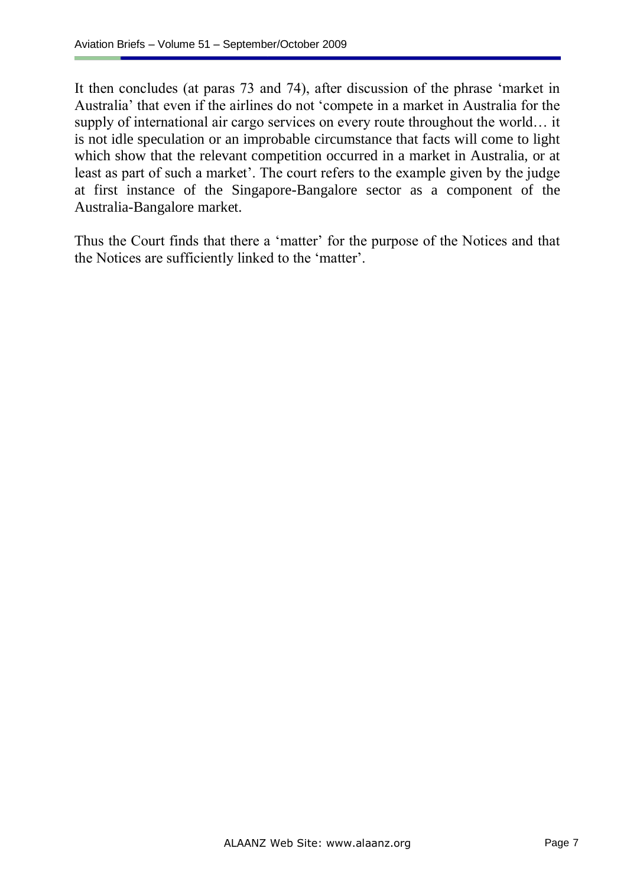It then concludes (at paras 73 and 74), after discussion of the phrase "market in Australia" that even if the airlines do not "compete in a market in Australia for the supply of international air cargo services on every route throughout the world… it is not idle speculation or an improbable circumstance that facts will come to light which show that the relevant competition occurred in a market in Australia, or at least as part of such a market'. The court refers to the example given by the judge at first instance of the Singapore-Bangalore sector as a component of the Australia-Bangalore market.

Thus the Court finds that there a "matter" for the purpose of the Notices and that the Notices are sufficiently linked to the "matter".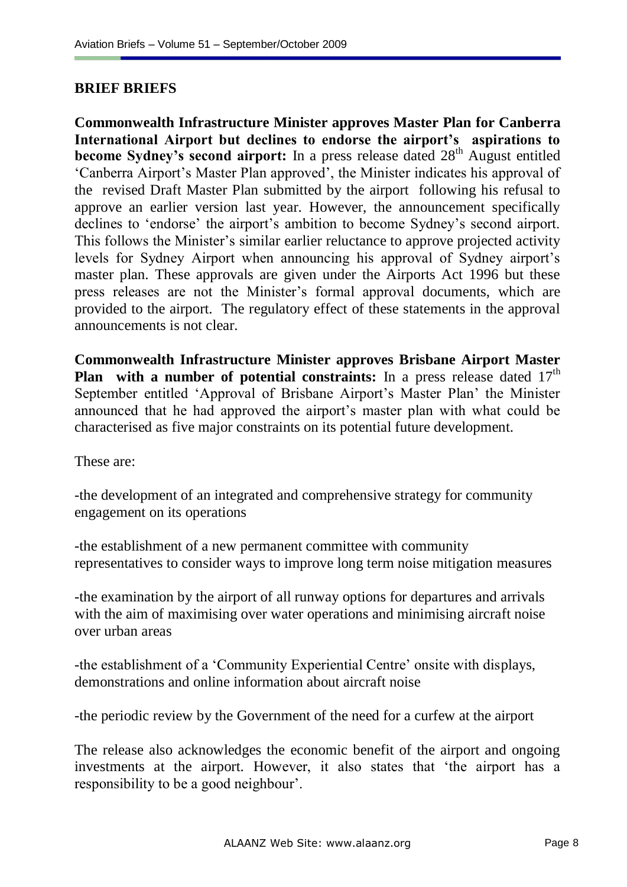## **BRIEF BRIEFS**

**Commonwealth Infrastructure Minister approves Master Plan for Canberra International Airport but declines to endorse the airport's aspirations to become Sydney's second airport:** In a press release dated 28<sup>th</sup> August entitled "Canberra Airport"s Master Plan approved", the Minister indicates his approval of the revised Draft Master Plan submitted by the airport following his refusal to approve an earlier version last year. However, the announcement specifically declines to 'endorse' the airport's ambition to become Sydney's second airport. This follows the Minister's similar earlier reluctance to approve projected activity levels for Sydney Airport when announcing his approval of Sydney airport"s master plan. These approvals are given under the Airports Act 1996 but these press releases are not the Minister"s formal approval documents, which are provided to the airport. The regulatory effect of these statements in the approval announcements is not clear.

**Commonwealth Infrastructure Minister approves Brisbane Airport Master Plan with a number of potential constraints:** In a press release dated 17<sup>th</sup> September entitled 'Approval of Brisbane Airport's Master Plan' the Minister announced that he had approved the airport's master plan with what could be characterised as five major constraints on its potential future development.

These are:

-the development of an integrated and comprehensive strategy for community engagement on its operations

-the establishment of a new permanent committee with community representatives to consider ways to improve long term noise mitigation measures

-the examination by the airport of all runway options for departures and arrivals with the aim of maximising over water operations and minimising aircraft noise over urban areas

-the establishment of a 'Community Experiential Centre' onsite with displays, demonstrations and online information about aircraft noise

-the periodic review by the Government of the need for a curfew at the airport

The release also acknowledges the economic benefit of the airport and ongoing investments at the airport. However, it also states that "the airport has a responsibility to be a good neighbour".